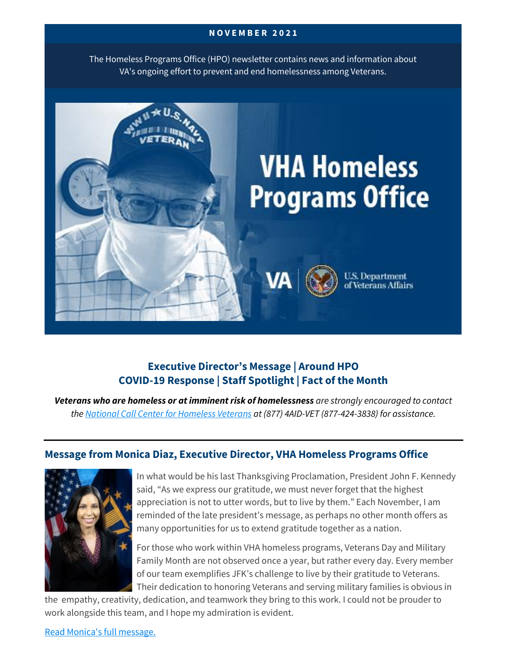#### **N O V E M B E R 2 0 2 1**

The Homeless Programs Office (HPO) newsletter contains news and information about VA's ongoing effort to prevent and end homelessness among Veterans.



# **Executive Director's Message | Around HPO COVID-19 Response | Staff Spotlight | Fact of the Month**

*Veterans who are homeless or at imminent risk of homelessness are strongly encouraged to contact the [National Call Center for Homeless Veterans](https://www.va.gov/homeless/nationalcallcenter.asp) at (877) 4AID-VET (877-424-3838) for assistance.*

### **Message from Monica Diaz, Executive Director, VHA Homeless Programs Office**



In what would be his last Thanksgiving Proclamation, President John F. Kennedy said, "As we express our gratitude, we must never forget that the highest appreciation is not to utter words, but to live by them." Each November, I am reminded of the late president's message, as perhaps no other month offers as many opportunities for us to extend gratitude together as a nation.

For those who work within VHA homeless programs, Veterans Day and Military Family Month are not observed once a year, but rather every day. Every member of our team exemplifies JFK's challenge to live by their gratitude to Veterans. Their dedication to honoring Veterans and serving military families is obvious in

the empathy, creativity, dedication, and teamwork they bring to this work. I could not be prouder to work alongside this team, and I hope my admiration is evident.

[Read Monica's full message.](https://www.va.gov/HOMELESS/updates/2021-11-Directors-Message.asp)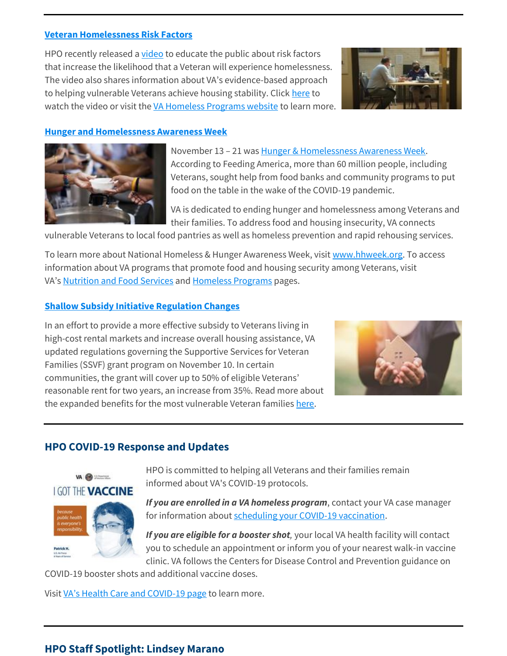#### **[Veteran Homelessness](https://www.youtube.com/watch?v=XoHVm2N7u-A) Risk Factors**

HPO recently released a [video](https://www.youtube.com/watch?v=XoHVm2N7u-A) to educate the public about risk factors that increase the likelihood that a Veteran will experience homelessness. The video also shares information about VA's evidence-based approach to helping vulnerable Veterans achieve housing stability. Click [here](https://www.youtube.com/watch?v=XoHVm2N7u-A) to watch the video or visit the [VA Homeless Programs website](https://www.va.gov/homeless) to learn more.



#### **[Hunger and Homelessness Awareness Week](https://hhweek.org/)**



November 13 – 21 was [Hunger & Homelessness Awareness Week.](https://hhweek.org/) According to Feeding America, more than 60 million people, including Veterans, sought help from food banks and community programs to put food on the table in the wake of the COVID-19 pandemic.

VA is dedicated to ending hunger and homelessness among Veterans and their families. To address food and housing insecurity, VA connects

vulnerable Veterans to local food pantries as well as homeless prevention and rapid rehousing services.

To learn more about National Homeless & Hunger Awareness Week, visit [www.hhweek.org.](http://www.hhweek.org/) To access information about VA programs that promote food and housing security among Veterans, visit VA's [Nutrition and Food Services](https://www.nutrition.va.gov/) and [Homeless Programs](https://www.va.gov/homeless/) pages.

#### **[Shallow Subsidy Initiative Regulation Changes](https://www.va.gov/opa/pressrel/pressrelease.cfm?id=5737)**

In an effort to provide a more effective subsidy to Veterans living in high-cost rental markets and increase overall housing assistance, VA updated regulations governing the Supportive Services for Veteran Families (SSVF) grant program on November 10. In certain communities, the grant will cover up to 50% of eligible Veterans' reasonable rent for two years, an increase from 35%. Read more about the expanded benefits for the most vulnerable Veteran families [here.](https://www.va.gov/opa/pressrel/pressrelease.cfm?id=5737)



### **HPO COVID-19 Response and Updates**



HPO is committed to helping all Veterans and their families remain informed about VA's COVID-19 protocols.

*If you are enrolled in a VA homeless program*, contact your VA case manager for information about [scheduling your COVID-19 vaccination.](https://www.va.gov/health-care/covid-19-vaccine/)

*If you are eligible for a booster shot,* your local VA health facility will contact you to schedule an appointment or inform you of your nearest walk-in vaccine clinic. VA follows the Centers for Disease Control and Prevention guidance on

COVID-19 booster shots and additional vaccine doses.

Visit [VA's Health Care and COVID](https://www.va.gov/health-care/covid-19-vaccine/)-19 page to learn more.

#### **HPO Staff Spotlight: Lindsey Marano**